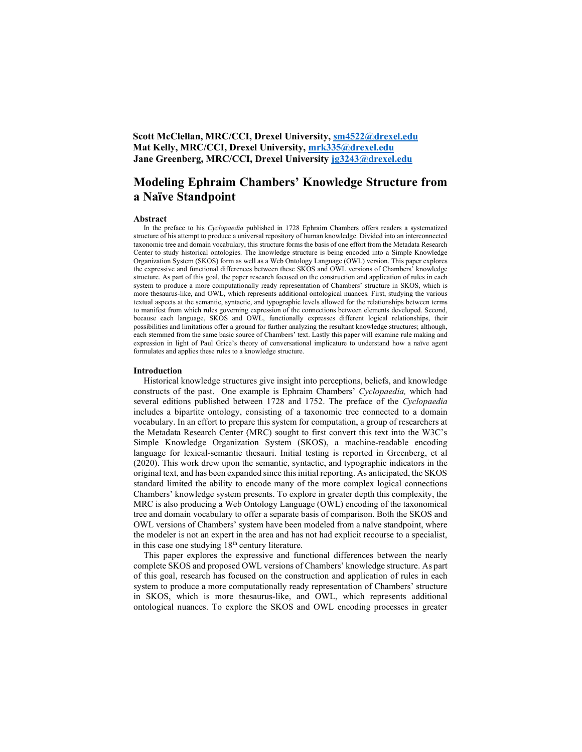## Scott McClellan, MRC/CCI, Drexel University, sm4522@drexel.edu Mat Kelly, MRC/CCI, Drexel University, mrk335@drexel.edu Jane Greenberg, MRC/CCI, Drexel University jg3243@drexel.edu

# Modeling Ephraim Chambers' Knowledge Structure from a Naïve Standpoint

#### Abstract

In the preface to his Cyclopaedia published in 1728 Ephraim Chambers offers readers a systematized structure of his attempt to produce a universal repository of human knowledge. Divided into an interconnected taxonomic tree and domain vocabulary, this structure forms the basis of one effort from the Metadata Research Center to study historical ontologies. The knowledge structure is being encoded into a Simple Knowledge Organization System (SKOS) form as well as a Web Ontology Language (OWL) version. This paper explores the expressive and functional differences between these SKOS and OWL versions of Chambers' knowledge structure. As part of this goal, the paper research focused on the construction and application of rules in each system to produce a more computationally ready representation of Chambers' structure in SKOS, which is more thesaurus-like, and OWL, which represents additional ontological nuances. First, studying the various textual aspects at the semantic, syntactic, and typographic levels allowed for the relationships between terms to manifest from which rules governing expression of the connections between elements developed. Second, because each language, SKOS and OWL, functionally expresses different logical relationships, their possibilities and limitations offer a ground for further analyzing the resultant knowledge structures; although, each stemmed from the same basic source of Chambers' text. Lastly this paper will examine rule making and expression in light of Paul Grice's theory of conversational implicature to understand how a naïve agent formulates and applies these rules to a knowledge structure.

#### Introduction

Historical knowledge structures give insight into perceptions, beliefs, and knowledge constructs of the past. One example is Ephraim Chambers' Cyclopaedia, which had several editions published between 1728 and 1752. The preface of the Cyclopaedia includes a bipartite ontology, consisting of a taxonomic tree connected to a domain vocabulary. In an effort to prepare this system for computation, a group of researchers at the Metadata Research Center (MRC) sought to first convert this text into the W3C's Simple Knowledge Organization System (SKOS), a machine-readable encoding language for lexical-semantic thesauri. Initial testing is reported in Greenberg, et al (2020). This work drew upon the semantic, syntactic, and typographic indicators in the original text, and has been expanded since this initial reporting. As anticipated, the SKOS standard limited the ability to encode many of the more complex logical connections Chambers' knowledge system presents. To explore in greater depth this complexity, the MRC is also producing a Web Ontology Language (OWL) encoding of the taxonomical tree and domain vocabulary to offer a separate basis of comparison. Both the SKOS and OWL versions of Chambers' system have been modeled from a naïve standpoint, where the modeler is not an expert in the area and has not had explicit recourse to a specialist, in this case one studying  $18<sup>th</sup>$  century literature.

This paper explores the expressive and functional differences between the nearly complete SKOS and proposed OWL versions of Chambers' knowledge structure. As part of this goal, research has focused on the construction and application of rules in each system to produce a more computationally ready representation of Chambers' structure in SKOS, which is more thesaurus-like, and OWL, which represents additional ontological nuances. To explore the SKOS and OWL encoding processes in greater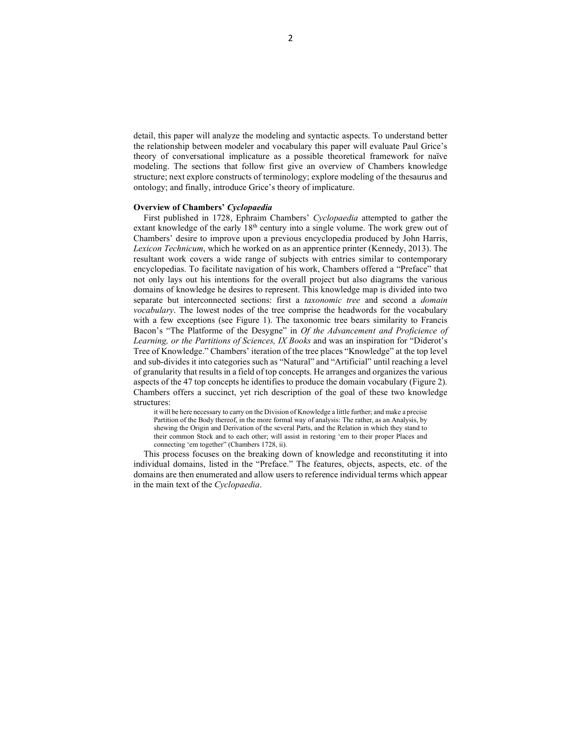detail, this paper will analyze the modeling and syntactic aspects. To understand better the relationship between modeler and vocabulary this paper will evaluate Paul Grice's theory of conversational implicature as a possible theoretical framework for naïve modeling. The sections that follow first give an overview of Chambers knowledge structure; next explore constructs of terminology; explore modeling of the thesaurus and ontology; and finally, introduce Grice's theory of implicature.

#### Overview of Chambers' Cyclopaedia

First published in 1728, Ephraim Chambers' Cyclopaedia attempted to gather the extant knowledge of the early  $18<sup>th</sup>$  century into a single volume. The work grew out of Chambers' desire to improve upon a previous encyclopedia produced by John Harris, Lexicon Technicum, which he worked on as an apprentice printer (Kennedy, 2013). The resultant work covers a wide range of subjects with entries similar to contemporary encyclopedias. To facilitate navigation of his work, Chambers offered a "Preface" that not only lays out his intentions for the overall project but also diagrams the various domains of knowledge he desires to represent. This knowledge map is divided into two separate but interconnected sections: first a *taxonomic tree* and second a *domain* vocabulary. The lowest nodes of the tree comprise the headwords for the vocabulary with a few exceptions (see Figure 1). The taxonomic tree bears similarity to Francis Bacon's "The Platforme of the Desygne" in Of the Advancement and Proficience of Learning, or the Partitions of Sciences, IX Books and was an inspiration for "Diderot's Tree of Knowledge." Chambers' iteration of the tree places "Knowledge" at the top level and sub-divides it into categories such as "Natural" and "Artificial" until reaching a level of granularity that results in a field of top concepts. He arranges and organizes the various aspects of the 47 top concepts he identifies to produce the domain vocabulary (Figure 2). Chambers offers a succinct, yet rich description of the goal of these two knowledge structures:

it will be here necessary to carry on the Division of Knowledge a little further; and make a precise Partition of the Body thereof, in the more formal way of analysis: The rather, as an Analysis, by shewing the Origin and Derivation of the several Parts, and the Relation in which they stand to their common Stock and to each other; will assist in restoring 'em to their proper Places and connecting 'em together" (Chambers 1728, ii).

This process focuses on the breaking down of knowledge and reconstituting it into individual domains, listed in the "Preface." The features, objects, aspects, etc. of the domains are then enumerated and allow users to reference individual terms which appear in the main text of the Cyclopaedia.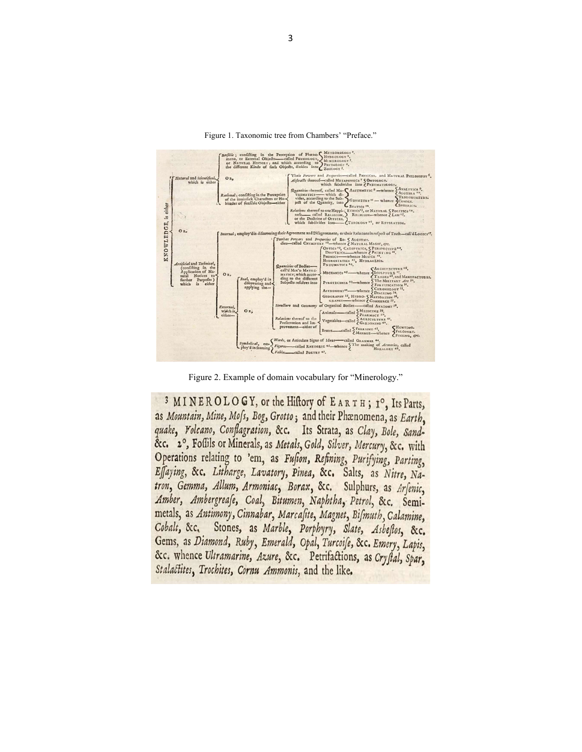

Figure 1. Taxonomic tree from Chambers' "Preface."

Figure 2. Example of domain vocabulary for "Minerology."

3 MINEROLOGY, or the Hiftory of EARTH; 1°, Its Parts, as Mountain, Mine, Mofs, Bog, Grotto; and their Phænomena, as Earth. quake, Volcano, Conflagration, &c. Its Strata, as Clay, Bole, Sand-&c. 2°, Foffils or Minerals, as Metals, Gold, Silver, Mercury, &c. with Operations relating to 'em, as Fufion, Refining, Purifying, Parting, Effaying, &c. Litharge, Lavatory, Pinea, &c. Salts, as Nitre, Natron, Gemma, Allum, Armoniac, Borax, &c. Sulphurs, as Arfenic, Amber, Ambergreafe, Coal, Bitumen, Naphtha, Petrol, &c. Semimetals, as Antimony, Cinnabar, Marcafite, Magnet, Bifmuth, Calamine, Cobalt, &c. Stones, as Marble, Porphyry, Slate, Asbeftos, &c. Gems, as Diamond, Ruby, Emerald, Opal, Turcoife, &c. Emery, Lapis, &c. whence Ultramarine, Azure, &c. Petrifactions, as Cryftal, Spar, Stalactites, Trochites, Cornu Ammonis, and the like.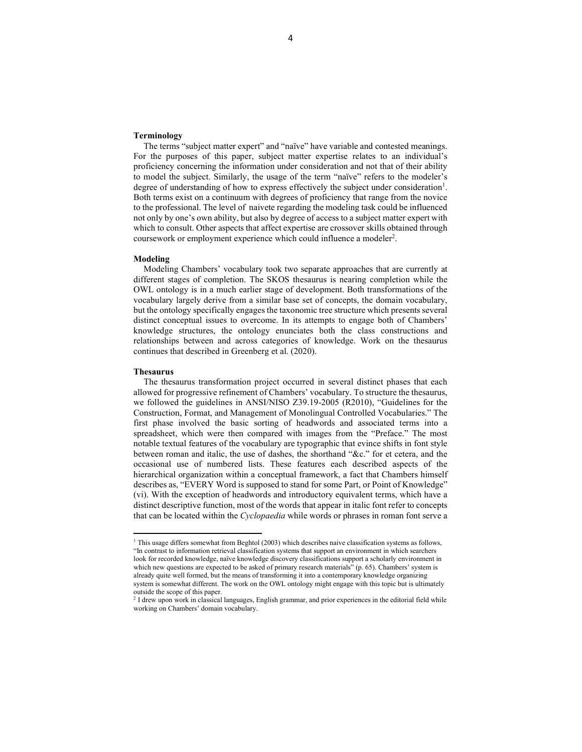### Terminology

The terms "subject matter expert" and "naïve" have variable and contested meanings. For the purposes of this paper, subject matter expertise relates to an individual's proficiency concerning the information under consideration and not that of their ability to model the subject. Similarly, the usage of the term "naïve" refers to the modeler's degree of understanding of how to express effectively the subject under consideration<sup>1</sup>. Both terms exist on a continuum with degrees of proficiency that range from the novice to the professional. The level of naivete regarding the modeling task could be influenced not only by one's own ability, but also by degree of access to a subject matter expert with which to consult. Other aspects that affect expertise are crossover skills obtained through coursework or employment experience which could influence a modeler<sup>2</sup>.

#### Modeling

Modeling Chambers' vocabulary took two separate approaches that are currently at different stages of completion. The SKOS thesaurus is nearing completion while the OWL ontology is in a much earlier stage of development. Both transformations of the vocabulary largely derive from a similar base set of concepts, the domain vocabulary, but the ontology specifically engages the taxonomic tree structure which presents several distinct conceptual issues to overcome. In its attempts to engage both of Chambers' knowledge structures, the ontology enunciates both the class constructions and relationships between and across categories of knowledge. Work on the thesaurus continues that described in Greenberg et al. (2020).

## Thesaurus

The thesaurus transformation project occurred in several distinct phases that each allowed for progressive refinement of Chambers' vocabulary. To structure the thesaurus, we followed the guidelines in ANSI/NISO Z39.19-2005 (R2010), "Guidelines for the Construction, Format, and Management of Monolingual Controlled Vocabularies." The first phase involved the basic sorting of headwords and associated terms into a spreadsheet, which were then compared with images from the "Preface." The most notable textual features of the vocabulary are typographic that evince shifts in font style between roman and italic, the use of dashes, the shorthand "&c." for et cetera, and the occasional use of numbered lists. These features each described aspects of the hierarchical organization within a conceptual framework, a fact that Chambers himself describes as, "EVERY Word is supposed to stand for some Part, or Point of Knowledge" (vi). With the exception of headwords and introductory equivalent terms, which have a distinct descriptive function, most of the words that appear in italic font refer to concepts that can be located within the Cyclopaedia while words or phrases in roman font serve a

<sup>&</sup>lt;sup>1</sup> This usage differs somewhat from Beghtol (2003) which describes naive classification systems as follows, "In contrast to information retrieval classification systems that support an environment in which searchers look for recorded knowledge, naïve knowledge discovery classifications support a scholarly environment in which new questions are expected to be asked of primary research materials" (p. 65). Chambers' system is already quite well formed, but the means of transforming it into a contemporary knowledge organizing system is somewhat different. The work on the OWL ontology might engage with this topic but is ultimately outside the scope of this paper.

<sup>&</sup>lt;sup>2</sup> I drew upon work in classical languages, English grammar, and prior experiences in the editorial field while working on Chambers' domain vocabulary.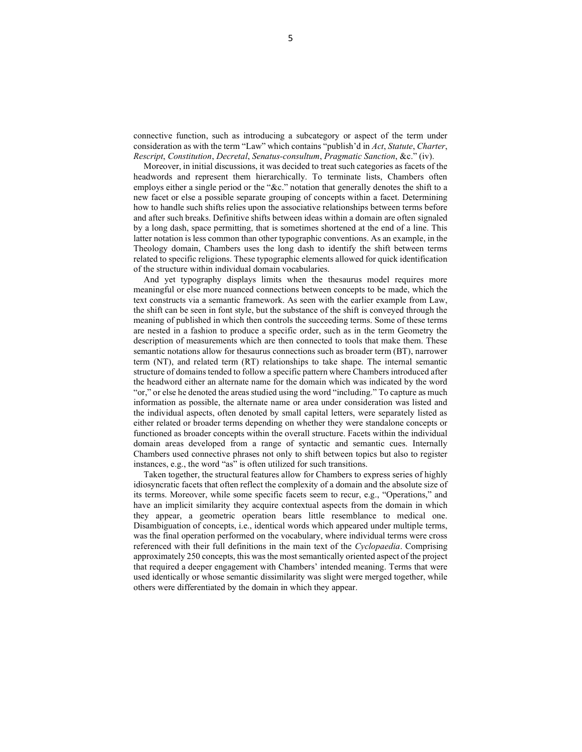connective function, such as introducing a subcategory or aspect of the term under consideration as with the term "Law" which contains "publish'd in Act, Statute, Charter, Rescript, Constitution, Decretal, Senatus-consultum, Pragmatic Sanction, &c." (iv).

Moreover, in initial discussions, it was decided to treat such categories as facets of the headwords and represent them hierarchically. To terminate lists, Chambers often employs either a single period or the "&c." notation that generally denotes the shift to a new facet or else a possible separate grouping of concepts within a facet. Determining how to handle such shifts relies upon the associative relationships between terms before and after such breaks. Definitive shifts between ideas within a domain are often signaled by a long dash, space permitting, that is sometimes shortened at the end of a line. This latter notation is less common than other typographic conventions. As an example, in the Theology domain, Chambers uses the long dash to identify the shift between terms related to specific religions. These typographic elements allowed for quick identification of the structure within individual domain vocabularies.

And yet typography displays limits when the thesaurus model requires more meaningful or else more nuanced connections between concepts to be made, which the text constructs via a semantic framework. As seen with the earlier example from Law, the shift can be seen in font style, but the substance of the shift is conveyed through the meaning of published in which then controls the succeeding terms. Some of these terms are nested in a fashion to produce a specific order, such as in the term Geometry the description of measurements which are then connected to tools that make them. These semantic notations allow for thesaurus connections such as broader term (BT), narrower term (NT), and related term (RT) relationships to take shape. The internal semantic structure of domains tended to follow a specific pattern where Chambers introduced after the headword either an alternate name for the domain which was indicated by the word "or," or else he denoted the areas studied using the word "including." To capture as much information as possible, the alternate name or area under consideration was listed and the individual aspects, often denoted by small capital letters, were separately listed as either related or broader terms depending on whether they were standalone concepts or functioned as broader concepts within the overall structure. Facets within the individual domain areas developed from a range of syntactic and semantic cues. Internally Chambers used connective phrases not only to shift between topics but also to register instances, e.g., the word "as" is often utilized for such transitions.

Taken together, the structural features allow for Chambers to express series of highly idiosyncratic facets that often reflect the complexity of a domain and the absolute size of its terms. Moreover, while some specific facets seem to recur, e.g., "Operations," and have an implicit similarity they acquire contextual aspects from the domain in which they appear, a geometric operation bears little resemblance to medical one. Disambiguation of concepts, i.e., identical words which appeared under multiple terms, was the final operation performed on the vocabulary, where individual terms were cross referenced with their full definitions in the main text of the Cyclopaedia. Comprising approximately 250 concepts, this was the most semantically oriented aspect of the project that required a deeper engagement with Chambers' intended meaning. Terms that were used identically or whose semantic dissimilarity was slight were merged together, while others were differentiated by the domain in which they appear.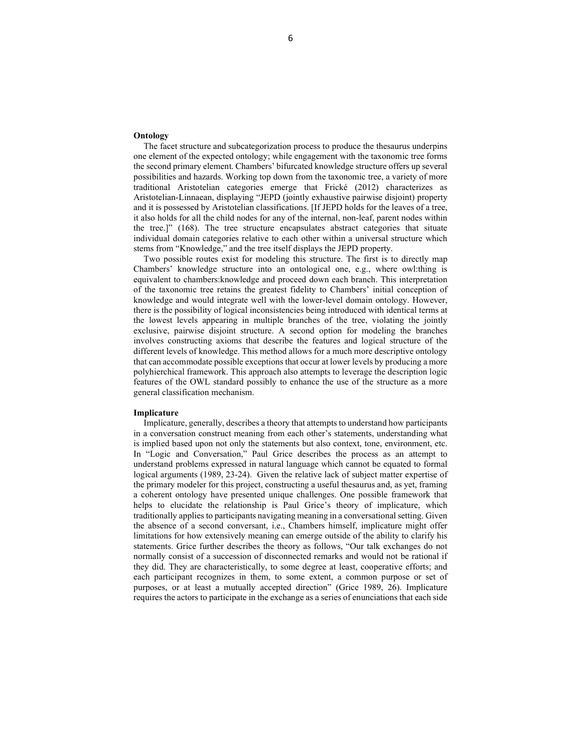## **Ontology**

The facet structure and subcategorization process to produce the thesaurus underpins one element of the expected ontology; while engagement with the taxonomic tree forms the second primary element. Chambers' bifurcated knowledge structure offers up several possibilities and hazards. Working top down from the taxonomic tree, a variety of more traditional Aristotelian categories emerge that Frické (2012) characterizes as Aristotelian-Linnaean, displaying "JEPD (jointly exhaustive pairwise disjoint) property and it is possessed by Aristotelian classifications. [If JEPD holds for the leaves of a tree, it also holds for all the child nodes for any of the internal, non-leaf, parent nodes within the tree.]" (168). The tree structure encapsulates abstract categories that situate individual domain categories relative to each other within a universal structure which stems from "Knowledge," and the tree itself displays the JEPD property.

Two possible routes exist for modeling this structure. The first is to directly map Chambers' knowledge structure into an ontological one, e.g., where owl:thing is equivalent to chambers:knowledge and proceed down each branch. This interpretation of the taxonomic tree retains the greatest fidelity to Chambers' initial conception of knowledge and would integrate well with the lower-level domain ontology. However, there is the possibility of logical inconsistencies being introduced with identical terms at the lowest levels appearing in multiple branches of the tree, violating the jointly exclusive, pairwise disjoint structure. A second option for modeling the branches involves constructing axioms that describe the features and logical structure of the different levels of knowledge. This method allows for a much more descriptive ontology that can accommodate possible exceptions that occur at lower levels by producing a more polyhierchical framework. This approach also attempts to leverage the description logic features of the OWL standard possibly to enhance the use of the structure as a more general classification mechanism.

#### Implicature

Implicature, generally, describes a theory that attempts to understand how participants in a conversation construct meaning from each other's statements, understanding what is implied based upon not only the statements but also context, tone, environment, etc. In "Logic and Conversation," Paul Grice describes the process as an attempt to understand problems expressed in natural language which cannot be equated to formal logical arguments (1989, 23-24). Given the relative lack of subject matter expertise of the primary modeler for this project, constructing a useful thesaurus and, as yet, framing a coherent ontology have presented unique challenges. One possible framework that helps to elucidate the relationship is Paul Grice's theory of implicature, which traditionally applies to participants navigating meaning in a conversational setting. Given the absence of a second conversant, i.e., Chambers himself, implicature might offer limitations for how extensively meaning can emerge outside of the ability to clarify his statements. Grice further describes the theory as follows, "Our talk exchanges do not normally consist of a succession of disconnected remarks and would not be rational if they did. They are characteristically, to some degree at least, cooperative efforts; and each participant recognizes in them, to some extent, a common purpose or set of purposes, or at least a mutually accepted direction" (Grice 1989, 26). Implicature requires the actors to participate in the exchange as a series of enunciations that each side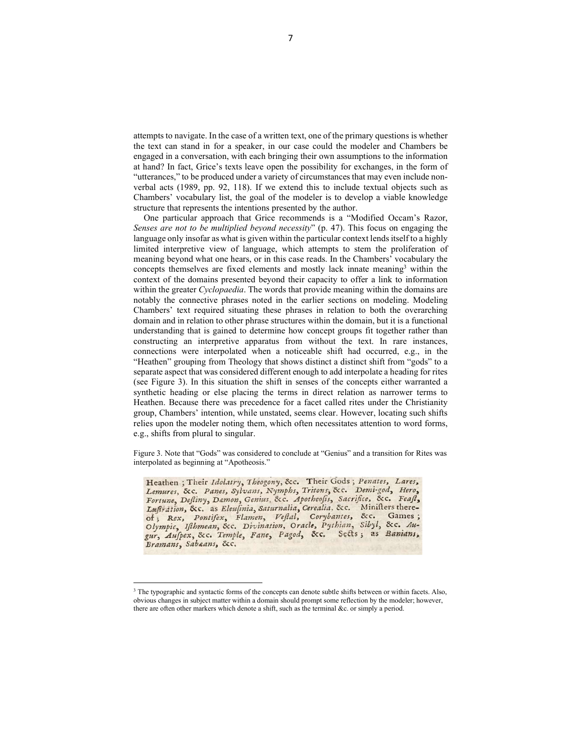attempts to navigate. In the case of a written text, one of the primary questions is whether the text can stand in for a speaker, in our case could the modeler and Chambers be engaged in a conversation, with each bringing their own assumptions to the information at hand? In fact, Grice's texts leave open the possibility for exchanges, in the form of "utterances," to be produced under a variety of circumstances that may even include nonverbal acts (1989, pp. 92, 118). If we extend this to include textual objects such as Chambers' vocabulary list, the goal of the modeler is to develop a viable knowledge structure that represents the intentions presented by the author.

One particular approach that Grice recommends is a "Modified Occam's Razor, Senses are not to be multiplied beyond necessity"  $(p, 47)$ . This focus on engaging the language only insofar as what is given within the particular context lends itself to a highly limited interpretive view of language, which attempts to stem the proliferation of meaning beyond what one hears, or in this case reads. In the Chambers' vocabulary the concepts themselves are fixed elements and mostly lack innate meaning3 within the context of the domains presented beyond their capacity to offer a link to information within the greater *Cyclopaedia*. The words that provide meaning within the domains are notably the connective phrases noted in the earlier sections on modeling. Modeling Chambers' text required situating these phrases in relation to both the overarching domain and in relation to other phrase structures within the domain, but it is a functional understanding that is gained to determine how concept groups fit together rather than constructing an interpretive apparatus from without the text. In rare instances, connections were interpolated when a noticeable shift had occurred, e.g., in the "Heathen" grouping from Theology that shows distinct a distinct shift from "gods" to a separate aspect that was considered different enough to add interpolate a heading for rites (see Figure 3). In this situation the shift in senses of the concepts either warranted a synthetic heading or else placing the terms in direct relation as narrower terms to Heathen. Because there was precedence for a facet called rites under the Christianity group, Chambers' intention, while unstated, seems clear. However, locating such shifts relies upon the modeler noting them, which often necessitates attention to word forms, e.g., shifts from plural to singular.

Figure 3. Note that "Gods" was considered to conclude at "Genius" and a transition for Rites was interpolated as beginning at "Apotheosis."

Heathen; Their Idolatry, Theogony, &c. Their Gods; Penates, Lares, Lemures, &c. Panes, Sylvans, Nymphs, Tritons, &c. Demi-god, Hero, Fortune, Deftiny, Damon, Genius, &c. Apotheofis, Sacrifice, &c. Feaft, Luftration, &c. as Eleusinia, Saturnalia, Cerealia, &c. Minifters there-Lugration, &c. as Evenima, Sararman, Ceremin, Cec. Sames ;<br>olympic, Ifthmean, &c. Divination, Oracle, Pythian, Sibyl, &c. Au-<br>gur, Aufpex, &c. Temple, Fane, Pagod, &c. Sects; as Banians, Bramans, Sabaans, &c.

<sup>&</sup>lt;sup>3</sup> The typographic and syntactic forms of the concepts can denote subtle shifts between or within facets. Also, obvious changes in subject matter within a domain should prompt some reflection by the modeler; however, there are often other markers which denote a shift, such as the terminal &c. or simply a period.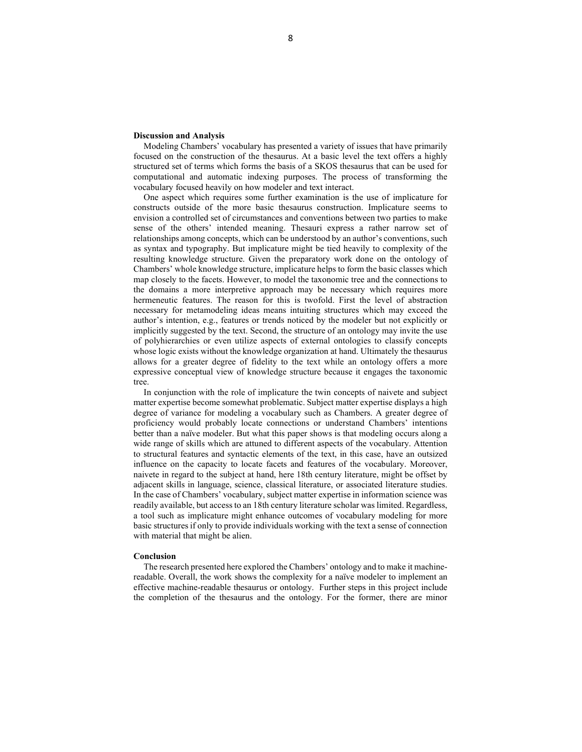## Discussion and Analysis

Modeling Chambers' vocabulary has presented a variety of issues that have primarily focused on the construction of the thesaurus. At a basic level the text offers a highly structured set of terms which forms the basis of a SKOS thesaurus that can be used for computational and automatic indexing purposes. The process of transforming the vocabulary focused heavily on how modeler and text interact.

One aspect which requires some further examination is the use of implicature for constructs outside of the more basic thesaurus construction. Implicature seems to envision a controlled set of circumstances and conventions between two parties to make sense of the others' intended meaning. Thesauri express a rather narrow set of relationships among concepts, which can be understood by an author's conventions, such as syntax and typography. But implicature might be tied heavily to complexity of the resulting knowledge structure. Given the preparatory work done on the ontology of Chambers' whole knowledge structure, implicature helps to form the basic classes which map closely to the facets. However, to model the taxonomic tree and the connections to the domains a more interpretive approach may be necessary which requires more hermeneutic features. The reason for this is twofold. First the level of abstraction necessary for metamodeling ideas means intuiting structures which may exceed the author's intention, e.g., features or trends noticed by the modeler but not explicitly or implicitly suggested by the text. Second, the structure of an ontology may invite the use of polyhierarchies or even utilize aspects of external ontologies to classify concepts whose logic exists without the knowledge organization at hand. Ultimately the thesaurus allows for a greater degree of fidelity to the text while an ontology offers a more expressive conceptual view of knowledge structure because it engages the taxonomic tree.

In conjunction with the role of implicature the twin concepts of naivete and subject matter expertise become somewhat problematic. Subject matter expertise displays a high degree of variance for modeling a vocabulary such as Chambers. A greater degree of proficiency would probably locate connections or understand Chambers' intentions better than a naïve modeler. But what this paper shows is that modeling occurs along a wide range of skills which are attuned to different aspects of the vocabulary. Attention to structural features and syntactic elements of the text, in this case, have an outsized influence on the capacity to locate facets and features of the vocabulary. Moreover, naivete in regard to the subject at hand, here 18th century literature, might be offset by adjacent skills in language, science, classical literature, or associated literature studies. In the case of Chambers' vocabulary, subject matter expertise in information science was readily available, but access to an 18th century literature scholar was limited. Regardless, a tool such as implicature might enhance outcomes of vocabulary modeling for more basic structures if only to provide individuals working with the text a sense of connection with material that might be alien.

#### Conclusion

The research presented here explored the Chambers' ontology and to make it machinereadable. Overall, the work shows the complexity for a naïve modeler to implement an effective machine-readable thesaurus or ontology. Further steps in this project include the completion of the thesaurus and the ontology. For the former, there are minor